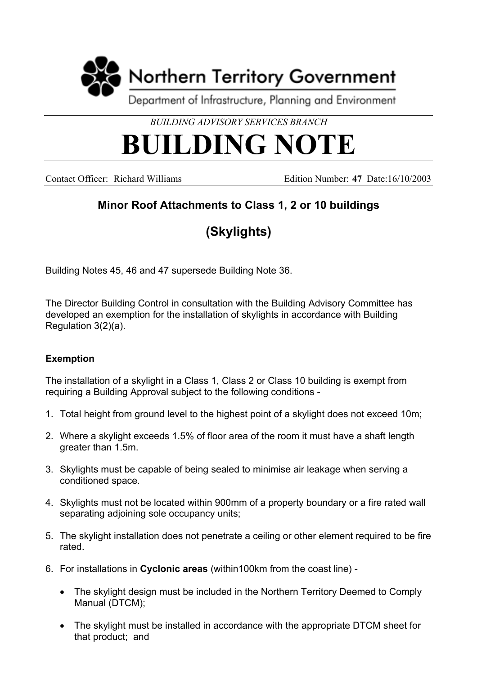

*BUILDING ADVISORY SERVICES BRANCH*

## **BUILDING NOTE**

Contact Officer: Richard Williams Edition Number: **47** Date:16/10/2003

## **Minor Roof Attachments to Class 1, 2 or 10 buildings**

## **(Skylights)**

Building Notes 45, 46 and 47 supersede Building Note 36.

The Director Building Control in consultation with the Building Advisory Committee has developed an exemption for the installation of skylights in accordance with Building Regulation 3(2)(a).

## **Exemption**

The installation of a skylight in a Class 1, Class 2 or Class 10 building is exempt from requiring a Building Approval subject to the following conditions -

- 1. Total height from ground level to the highest point of a skylight does not exceed 10m;
- 2. Where a skylight exceeds 1.5% of floor area of the room it must have a shaft length greater than 1.5m.
- 3. Skylights must be capable of being sealed to minimise air leakage when serving a conditioned space.
- 4. Skylights must not be located within 900mm of a property boundary or a fire rated wall separating adjoining sole occupancy units;
- 5. The skylight installation does not penetrate a ceiling or other element required to be fire rated.
- 6. For installations in **Cyclonic areas** (within100km from the coast line)
	- The skylight design must be included in the Northern Territory Deemed to Comply Manual (DTCM);
	- The skylight must be installed in accordance with the appropriate DTCM sheet for that product; and